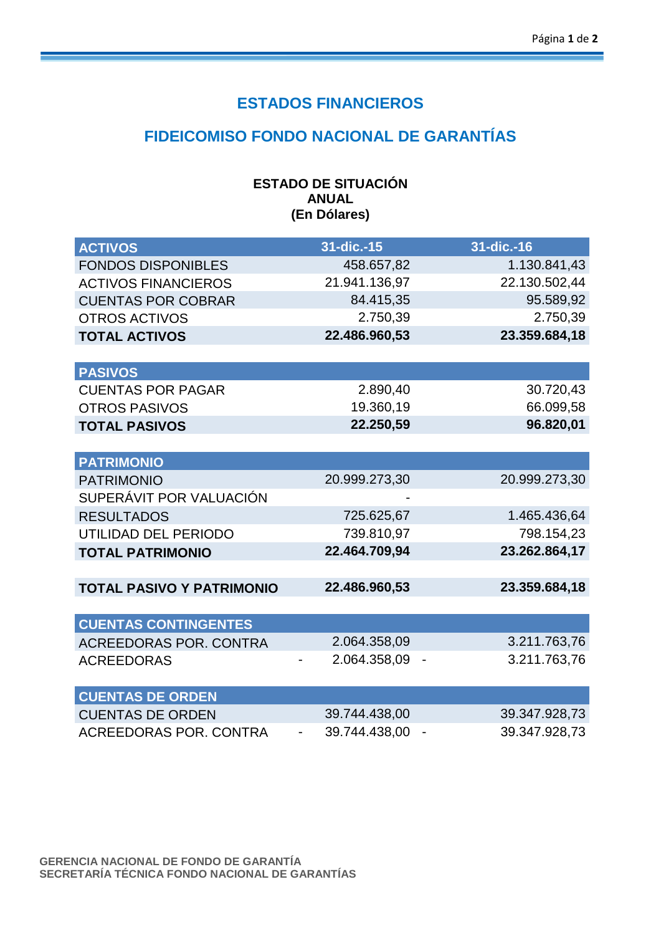## **ESTADOS FINANCIEROS**

## **FIDEICOMISO FONDO NACIONAL DE GARANTÍAS**

#### **ESTADO DE SITUACIÓN ANUAL (En Dólares)**

| <b>ACTIVOS</b>                   | $31$ -dic.-15                             | 31-dic.-16                                |
|----------------------------------|-------------------------------------------|-------------------------------------------|
| <b>FONDOS DISPONIBLES</b>        | 458.657,82                                | 1.130.841,43                              |
| <b>ACTIVOS FINANCIEROS</b>       | 21.941.136,97                             | 22.130.502,44                             |
| <b>CUENTAS POR COBRAR</b>        | 84.415,35                                 | 95.589,92                                 |
| <b>OTROS ACTIVOS</b>             | 2.750,39                                  | 2.750,39                                  |
| <b>TOTAL ACTIVOS</b>             | 22.486.960,53                             | 23.359.684,18                             |
|                                  |                                           |                                           |
| <b>PASIVOS</b>                   |                                           |                                           |
| <b>CUENTAS POR PAGAR</b>         | 2.890,40                                  | 30.720,43                                 |
| <b>OTROS PASIVOS</b>             | 19.360,19                                 | 66.099,58                                 |
| <b>TOTAL PASIVOS</b>             | 22.250,59                                 | 96.820,01                                 |
|                                  |                                           |                                           |
| <b>PATRIMONIO</b>                |                                           |                                           |
| <b>PATRIMONIO</b>                | 20.999.273,30                             | 20.999.273,30                             |
| SUPERÁVIT POR VALUACIÓN          |                                           |                                           |
| <b>RESULTADOS</b>                | 725.625,67                                | 1.465.436,64                              |
| UTILIDAD DEL PERIODO             | 739.810,97                                | 798.154,23                                |
| <b>TOTAL PATRIMONIO</b>          | 22.464.709,94                             | 23.262.864,17                             |
|                                  |                                           |                                           |
| <b>TOTAL PASIVO Y PATRIMONIO</b> | 22.486.960,53                             | 23.359.684,18                             |
|                                  |                                           |                                           |
| <b>CUENTAS CONTINGENTES</b>      |                                           |                                           |
| <b>ACREEDORAS POR, CONTRA</b>    | 2.064.358,09                              | 3.211.763,76                              |
| <b>ACREEDORAS</b>                | 2.064.358,09                              | 3.211.763,76                              |
|                                  |                                           |                                           |
| <b>CUENTAS DE ORDEN</b>          |                                           |                                           |
| <b>CUENTAS DE ORDEN</b>          | 39.744.438,00                             | 39.347.928,73                             |
| <b>ACREEDORAS POR. CONTRA</b>    | 39.744.438,00<br>$\overline{\phantom{a}}$ | 39.347.928,73<br>$\overline{\phantom{a}}$ |